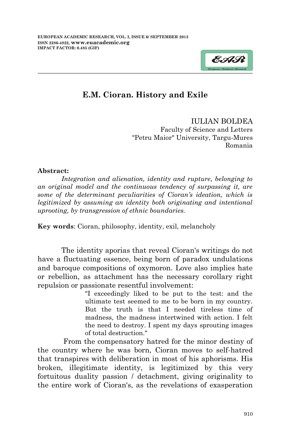

## **E.M. Cioran. History and Exile**

IULIAN BOLDEA Faculty of Science and Letters "Petru Maior" University, Targu-Mures Romania

## **Abstract:**

*Integration and alienation, identity and rupture, belonging to an original model and the continuous tendency of surpassing it, are some of the determinant peculiarities of Cioran's ideation, which is legitimized by assuming an identity both originating and intentional uprooting, by transgression of ethnic boundaries.*

**Key words**: Cioran, philosophy, identity, exil, melancholy

The identity aporias that reveal Cioran's writings do not have a fluctuating essence, being born of paradox undulations and baroque compositions of oxymoron. Love also implies hate or rebellion, as attachment has the necessary corollary right repulsion or passionate resentful involvement:

> "I exceedingly liked to be put to the test: and the ultimate test seemed to me to be born in my country. But the truth is that I needed tireless time of madness, the madness intertwined with action. I felt the need to destroy. I spent my days sprouting images of total destruction."

From the compensatory hatred for the minor destiny of the country where he was born, Cioran moves to self-hatred that transpires with deliberation in most of his aphorisms. His broken, illegitimate identity, is legitimized by this very fortuitous duality passion / detachment, giving originality to the entire work of Cioran's, as the revelations of exasperation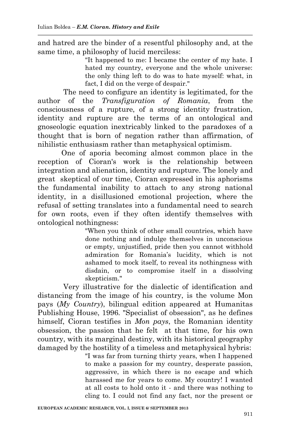and hatred are the binder of a resentful philosophy and, at the same time, a philosophy of lucid merciless:

> "It happened to me: I became the center of my hate. I hated my country, everyone and the whole universe: the only thing left to do was to hate myself: what, in fact, I did on the verge of despair."

The need to configure an identity is legitimated, for the author of the *Transfiguration of Romania*, from the consciousness of a rupture, of a strong identity frustration, identity and rupture are the terms of an ontological and gnoseologic equation inextricably linked to the paradoxes of a thought that is born of negation rather than affirmation, of nihilistic enthusiasm rather than metaphysical optimism.

One of aporia becoming almost common place in the reception of Cioran's work is the relationship between integration and alienation, identity and rupture. The lonely and great skeptical of our time, Cioran expressed in his aphorisms the fundamental inability to attach to any strong national identity, in a disillusioned emotional projection, where the refusal of setting translates into a fundamental need to search for own roots, even if they often identify themselves with ontological nothingness:

"When you think of other small countries, which have done nothing and indulge themselves in unconscious or empty, unjustified, pride then you cannot withhold admiration for Romania's lucidity, which is not ashamed to mock itself, to reveal its nothingness with disdain, or to compromise itself in a dissolving skepticism."

Very illustrative for the dialectic of identification and distancing from the image of his country, is the volume Mon pays (*My Country*), bilingual edition appeared at Humanitas Publishing House, 1996. "Specialist of obsession", as he defines himself, Cioran testifies in *Mon pays*, the Romanian identity obsession, the passion that he felt at that time, for his own country, with its marginal destiny, with its historical geography damaged by the hostility of a timeless and metaphysical hybris:

> "I was far from turning thirty years, when I happened to make a passion for my country, desperate passion, aggressive, in which there is no escape and which harassed me for years to come. My country! I wanted at all costs to hold onto it - and there was nothing to cling to. I could not find any fact, nor the present or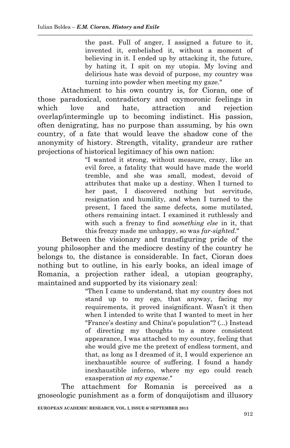the past. Full of anger, I assigned a future to it, invented it, embelished it, without a moment of believing in it. I ended up by attacking it, the future, by hating it, I spit on my utopia. My loving and delirious hate was devoid of purpose, my country was turning into powder when meeting my gaze."

Attachment to his own country is, for Cioran, one of those paradoxical, contradictory and oxymoronic feelings in which love and hate, attraction and rejection overlap/intermingle up to becoming indistinct. His passion, often denigrating, has no purpose than assuming, by his own country, of a fate that would leave the shadow cone of the anonymity of history. Strength, vitality, grandeur are rather projections of historical legitimacy of his own nation:

"I wanted it strong, without measure, crazy, like an evil force, a fatality that would have made the world tremble, and she was small, modest, devoid of attributes that make up a destiny. When I turned to her past, I discovered nothing but servitude, resignation and humility, and when I turned to the present, I faced the same defects, some mutilated, others remaining intact. I examined it ruthlessly and with such a frenzy to find *something else* in it, that this frenzy made me unhappy, so was *far-sighted*."

Between the visionary and transfiguring pride of the young philosopher and the mediocre destiny of the country he belongs to, the distance is considerable. In fact, Cioran does nothing but to outline, in his early books, an ideal image of Romania, a projection rather ideal, a utopian geography, maintained and supported by its visionary zeal:

> "Then I came to understand, that my country does not stand up to my ego, that anyway, facing my requirements, it proved insignificant. Wasn't it then when I intended to write that I wanted to meet in her "France's destiny and China's population"? (...) Instead of directing my thoughts to a more consistent appearance, I was attached to my country, feeling that she would give me the pretext of endless torment, and that, as long as I dreamed of it, I would experience an inexhaustible source of suffering. I found a handy inexhaustible inferno, where my ego could reach exasperation *at my expense*."

The attachment for Romania is perceived as a gnoseologic punishment as a form of donquijotism and illusory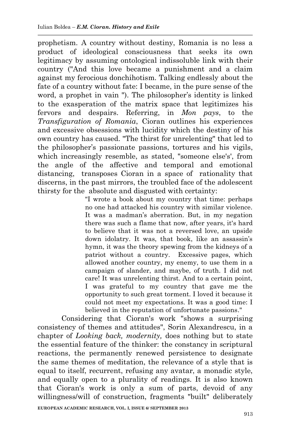prophetism. A country without destiny, Romania is no less a product of ideological consciousness that seeks its own legitimacy by assuming ontological indissoluble link with their country ("And this love became a punishment and a claim against my ferocious donchihotism. Talking endlessly about the fate of a country without fate: I became, in the pure sense of the word, a prophet in vain "). The philosopher's identity is linked to the exasperation of the matrix space that legitimizes his fervors and despairs. Referring, in *Mon pays*, to the *Transfiguration of Romania*, Cioran outlines his experiences and excessive obsessions with lucidity which the destiny of his own country has caused. "The thirst for unrelenting" that led to the philosopher's passionate passions, tortures and his vigils, which increasingly resemble, as stated, "someone else's', from the angle of the affective and temporal and emotional distancing, transposes Cioran in a space of rationality that discerns, in the past mirrors, the troubled face of the adolescent thirsty for the absolute and disgusted with certainty:

> "I wrote a book about my country that time: perhaps no one had attacked his country with similar violence. It was a madman's aberration. But, in my negation there was such a flame that now, after years, it's hard to believe that it was not a reversed love, an upside down idolatry. It was, that book, like an assassin's hymn, it was the theory spewing from the kidneys of a patriot without a country. Excessive pages, which allowed another country, my enemy, to use them in a campaign of slander, and maybe, of truth. I did not care! It was unrelenting thirst. And to a certain point, I was grateful to my country that gave me the opportunity to such great torment. I loved it because it could not meet my expectations. It was a good time: I believed in the reputation of unfortunate passions."

Considering that Cioran's work "shows a surprising consistency of themes and attitudes", Sorin Alexandrescu, in a chapter of *Looking back, modernity,* does nothing but to state the essential feature of the thinker: the constancy in scriptural reactions, the permanently renewed persistence to designate the same themes of meditation, the relevance of a style that is equal to itself, recurrent, refusing any avatar, a monadic style, and equally open to a plurality of readings. It is also known that Cioran's work is only a sum of parts, devoid of any willingness/will of construction, fragments "built" deliberately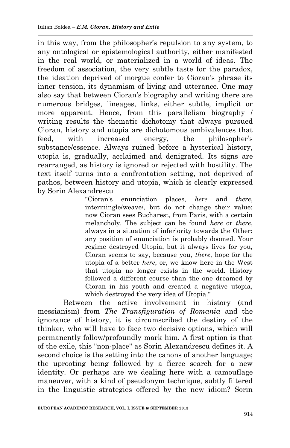in this way, from the philosopher's repulsion to any system, to any ontological or epistemological authority, either manifested in the real world, or materialized in a world of ideas. The freedom of association, the very subtle taste for the paradox, the ideation deprived of morgue confer to Cioran's phrase its inner tension, its dynamism of living and utterance. One may also say that between Cioran's biography and writing there are numerous bridges, lineages, links, either subtle, implicit or more apparent. Hence, from this parallelism biography / writing results the thematic dichotomy that always pursued Cioran, history and utopia are dichotomous ambivalences that feed, with increased energy, the philosopher's substance/essence. Always ruined before a hysterical history, utopia is, gradually, acclaimed and denigrated. Its signs are rearranged, as history is ignored or rejected with hostility. The text itself turns into a confrontation setting, not deprived of pathos, between history and utopia, which is clearly expressed by Sorin Alexandrescu

> "Cioran's enunciation places, *here* and *there*, intermingle/weave/, but do not change their value: now Cioran sees Bucharest, from Paris, with a certain melancholy. The subject can be found *here* or *there*, always in a situation of inferiority towards the Other: any position of enunciation is probably doomed. Your regime destroyed Utopia, but it always lives for you, Cioran seems to say, because you, *there*, hope for the utopia of a better *here*, or, we know here in the West that utopia no longer exists in the world. History followed a different course than the one dreamed by Cioran in his youth and created a negative utopia, which destroyed the very idea of Utopia."

Between the active involvement in history (and messianism) from *The Transfiguration of Romania* and the ignorance of history, it is circumscribed the destiny of the thinker, who will have to face two decisive options, which will permanently follow/profoundly mark him. A first option is that of the exile, this "non-place" as Sorin Alexandrescu defines it. A second choice is the setting into the canons of another language; the uprooting being followed by a fierce search for a new identity. Or perhaps are we dealing here with a camouflage maneuver, with a kind of pseudonym technique, subtly filtered in the linguistic strategies offered by the new idiom? Sorin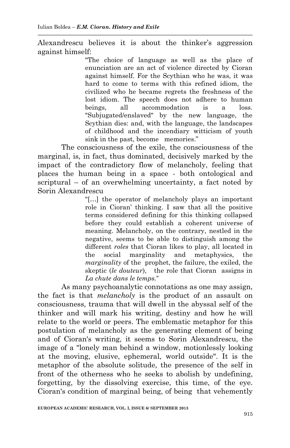Alexandrescu believes it is about the thinker's aggression against himself:

> "The choice of language as well as the place of enunciation are an act of violence directed by Cioran against himself. For the Scythian who he was, it was hard to come to terms with this refined idiom, the civilized who he became regrets the freshness of the lost idiom. The speech does not adhere to human beings, all accommodation is a loss. "Subjugated/enslaved" by the new language, the Scythian dies: and, with the language, the landscapes of childhood and the incendiary witticism of youth sink in the past, become memories."

The consciousness of the exile, the consciousness of the marginal, is, in fact, thus dominated, decisively marked by the impact of the contradictory flow of melancholy, feeling that places the human being in a space - both ontological and scriptural – of an overwhelming uncertainty, a fact noted by Sorin Alexandrescu

> "[…] the operator of melancholy plays an important role in Cioran' thinking. I saw that all the positive terms considered defining for this thinking collapsed before they could establish a coherent universe of meaning. Melancholy, on the contrary, nestled in the negative, seems to be able to distinguish among the different *roles* that Cioran likes to play, all located in the social marginality and metaphysics, the *marginality* of the prophet, the failure, the exiled, the skeptic (*le douteur*), the role that Cioran assigns in *La chute dans le temps.*"

As many psychoanalytic connotations as one may assign, the fact is that *melancholy* is the product of an assault on consciousness, trauma that will dwell in the abyssal self of the thinker and will mark his writing, destiny and how he will relate to the world or peers. The emblematic metaphor for this postulation of melancholy as the generating element of being and of Cioran's writing, it seems to Sorin Alexandrescu, the image of a "lonely man behind a window, motionlessly looking at the moving, elusive, ephemeral, world outside". It is the metaphor of the absolute solitude, the presence of the self in front of the otherness who he seeks to abolish by undefining, forgetting, by the dissolving exercise, this time, of the eye. Cioran's condition of marginal being, of being that vehemently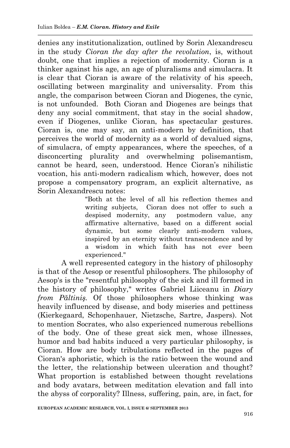denies any institutionalization, outlined by Sorin Alexandrescu in the study *Cioran the day after the revolution*, is, without doubt, one that implies a rejection of modernity. Cioran is a thinker against his age, an age of pluralisms and simulacra. It is clear that Cioran is aware of the relativity of his speech, oscillating between marginality and universality. From this angle, the comparison between Cioran and Diogenes, the cynic, is not unfounded. Both Cioran and Diogenes are beings that deny any social commitment, that stay in the social shadow, even if Diogenes, unlike Cioran, has spectacular gestures. Cioran is, one may say, an anti-modern by definition, that perceives the world of modernity as a world of devalued signs, of simulacra, of empty appearances, where the speeches, of a disconcerting plurality and overwhelming polisemantism, cannot be heard, seen, understood. Hence Cioran's nihilistic vocation, his anti-modern radicalism which, however, does not propose a compensatory program, an explicit alternative, as Sorin Alexandrescu notes:

> "Both at the level of all his reflection themes and writing subjects, Cioran does not offer to such a despised modernity, any postmodern value, any affirmative alternative, based on a different social dynamic, but some clearly anti-modern values, inspired by an eternity without transcendence and by a wisdom in which faith has not ever been experienced."

A well represented category in the history of philosophy is that of the Aesop or resentful philosophers. The philosophy of Aesop's is the "resentful philosophy of the sick and ill formed in the history of philosophy," writes Gabriel Liiceanu in *Diary from Păltiniş.* Of those philosophers whose thinking was heavily influenced by disease, and body miseries and pettiness (Kierkegaard, Schopenhauer, Nietzsche, Sartre, Jaspers). Not to mention Socrates, who also experienced numerous rebellions of the body. One of these great sick men, whose illnesses, humor and bad habits induced a very particular philosophy, is Cioran. How are body tribulations reflected in the pages of Cioran's aphoristic, which is the ratio between the wound and the letter, the relationship between ulceration and thought? What proportion is established between thought revelations and body avatars, between meditation elevation and fall into the abyss of corporality? Illness, suffering, pain, are, in fact, for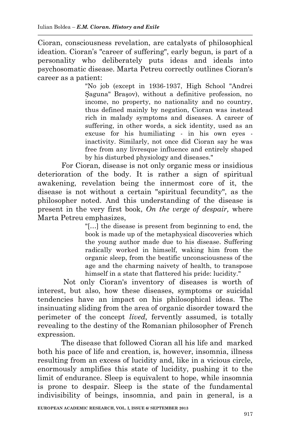Cioran, consciousness revelation, are catalysts of philosophical ideation. Cioran's "career of suffering", early begun, is part of a personality who deliberately puts ideas and ideals into psychosomatic disease. Marta Petreu correctly outlines Cioran's career as a patient:

> "No job (except in 1936-1937, High School "Andrei Şaguna" Braşov), without a definitive profession, no income, no property, no nationality and no country, thus defined mainly by negation, Cioran was instead rich in malady symptoms and diseases. A career of suffering, in other words, a sick identity, used as an excuse for his humiliating - in his own eyes inactivity. Similarly, not once did Cioran say he was free from any livresque influence and entirely shaped by his disturbed physiology and diseases."

For Cioran, disease is not only organic mess or insidious deterioration of the body. It is rather a sign of spiritual awakening, revelation being the innermost core of it, the disease is not without a certain "spiritual fecundity", as the philosopher noted. And this understanding of the disease is present in the very first book, *On the verge of despair,* where Marta Petreu emphasizes,

> "[…] the disease is present from beginning to end, the book is made up of the metaphysical discoveries which the young author made due to his disease. Suffering radically worked in himself, waking him from the organic sleep, from the beatific unconsciousness of the age and the charming naivety of health, to transpose himself in a state that flattered his pride: lucidity."

Not only Cioran's inventory of diseases is worth of interest, but also, how these diseases, symptoms or suicidal tendencies have an impact on his philosophical ideas. The insinuating sliding from the area of organic disorder toward the perimeter of the concept *lived,* fervently assumed, is totally revealing to the destiny of the Romanian philosopher of French expression.

The disease that followed Cioran all his life and marked both his pace of life and creation, is, however, insomnia, illness resulting from an excess of lucidity and, like in a vicious circle, enormously amplifies this state of lucidity, pushing it to the limit of endurance. Sleep is equivalent to hope, while insomnia is prone to despair. Sleep is the state of the fundamental indivisibility of beings, insomnia, and pain in general, is a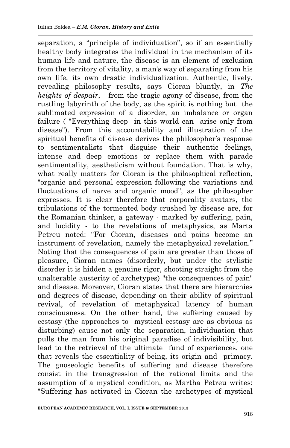separation, a "principle of individuation", so if an essentially healthy body integrates the individual in the mechanism of its human life and nature, the disease is an element of exclusion from the territory of vitality, a man's way of separating from his own life, its own drastic individualization. Authentic, lively, revealing philosophy results, says Cioran bluntly, in *The heights of despair*, from the tragic agony of disease, from the rustling labyrinth of the body, as the spirit is nothing but the sublimated expression of a disorder, an imbalance or organ failure ( "Everything deep in this world can arise only from disease"). From this accountability and illustration of the spiritual benefits of disease derives the philosopher's response to sentimentalists that disguise their authentic feelings, intense and deep emotions or replace them with parade sentimentality, aestheticism without foundation. That is why, what really matters for Cioran is the philosophical reflection. "organic and personal expression following the variations and fluctuations of nerve and organic mood", as the philosopher expresses. It is clear therefore that corporality avatars, the tribulations of the tormented body crushed by disease are, for the Romanian thinker, a gateway - marked by suffering, pain, and lucidity - to the revelations of metaphysics, as Marta Petreu noted: "For Cioran, diseases and pains become an instrument of revelation, namely the metaphysical revelation." Noting that the consequences of pain are greater than those of pleasure, Cioran names (disorderly, but under the stylistic disorder it is hidden a genuine rigor, shooting straight from the unalterable austerity of archetypes) "the consequences of pain" and disease. Moreover, Cioran states that there are hierarchies and degrees of disease, depending on their ability of spiritual revival, of revelation of metaphysical latency of human consciousness. On the other hand, the suffering caused by ecstasy (the approaches to mystical ecstasy are as obvious as disturbing) cause not only the separation, individuation that pulls the man from his original paradise of indivisibility, but lead to the retrieval of the ultimate fund of experiences, one that reveals the essentiality of being, its origin and primacy. The gnoseologic benefits of suffering and disease therefore consist in the transgression of the rational limits and the assumption of a mystical condition, as Martha Petreu writes: "Suffering has activated in Cioran the archetypes of mystical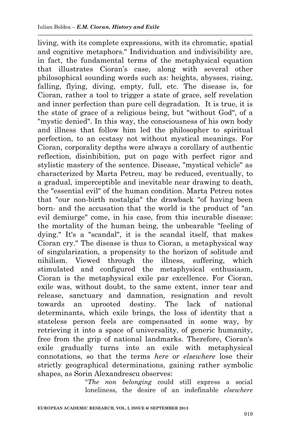living, with its complete expressions, with its chromatic, spatial and cognitive metaphors." Individuation and indivisibility are, in fact, the fundamental terms of the metaphysical equation that illustrates Cioran's case, along with several other philosophical sounding words such as: heights, abysses, rising, falling, flying, diving, empty, full, etc. The disease is, for Cioran, rather a tool to trigger a state of grace, self revelation and inner perfection than pure cell degradation. It is true, it is the state of grace of a religious being, but "without God", of a "mystic denied". In this way, the consciousness of his own body and illness that follow him led the philosopher to spiritual perfection, to an ecstasy not without mystical meanings. For Cioran, corporality depths were always a corollary of authentic reflection, disinhibition, put on page with perfect rigor and stylistic mastery of the sentence. Disease, "mystical vehicle" as characterized by Marta Petreu, may be reduced, eventually, to a gradual, imperceptible and inevitable near drawing to death, the "essential evil" of the human condition. Marta Petreu notes that "our non-birth nostalgia" the drawback "of having been born- and the accusation that the world is the product of "an evil demiurge" come, in his case, from this incurable disease: the mortality of the human being, the unbearable "feeling of dying." It's a "scandal", it is the scandal itself, that makes Cioran cry." The disease is thus to Cioran, a metaphysical way of singularization, a propensity to the horizon of solitude and nihilism. Viewed through the illness, suffering, which stimulated and configured the metaphysical enthusiasm, Cioran is the metaphysical exile par excellence. For Cioran, exile was, without doubt, to the same extent, inner tear and release, sanctuary and damnation, resignation and revolt towards an uprooted destiny. The lack of national determinants, which exile brings, the loss of identity that a stateless person feels are compensated in some way, by retrieving it into a space of universality, of generic humanity, free from the grip of national landmarks. Therefore, Cioran's exile gradually turns into an exile with metaphysical connotations, so that the terms *here or elsewhere* lose their strictly geographical determinations, gaining rather symbolic shapes, as Sorin Alexandrescu observes:

"*The non belonging* could still express a social loneliness, the desire of an indefinable *elsewhere*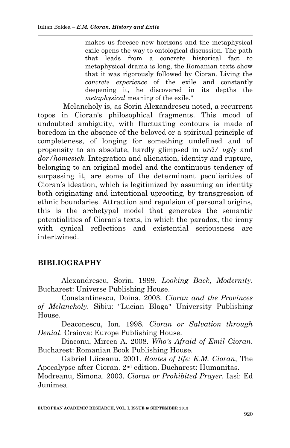makes us foresee new horizons and the metaphysical exile opens the way to ontological discussion. The path that leads from a concrete historical fact to metaphysical drama is long, the Romanian texts show that it was rigorously followed by Cioran. Living the *concrete experience* of the exile and constantly deepening it, he discovered in its depths the *metaphysical* meaning of the exile."

Melancholy is, as Sorin Alexandrescu noted, a recurrent topos in Cioran's philosophical fragments. This mood of undoubted ambiguity, with fluctuating contours is made of boredom in the absence of the beloved or a spiritual principle of completeness, of longing for something undefined and of propensity to an absolute, hardly glimpsed in *ură/ ugly* and *dor/homesick*. Integration and alienation, identity and rupture, belonging to an original model and the continuous tendency of surpassing it, are some of the determinant peculiarities of Cioran's ideation, which is legitimized by assuming an identity both originating and intentional uprooting, by transgression of ethnic boundaries. Attraction and repulsion of personal origins, this is the archetypal model that generates the semantic potentialities of Cioran's texts, in which the paradox, the irony with cynical reflections and existential seriousness are intertwined.

## **BIBLIOGRAPHY**

Alexandrescu, Sorin. 1999. *Looking Back, Modernity*. Bucharest: Universe Publishing House.

Constantinescu, Doina. 2003. *Cioran and the Provinces of Melancholy*. Sibiu: "Lucian Blaga" University Publishing House.

Deaconescu, Ion. 1998. *Cioran or Salvation through Denial*. Craiova: Europe Publishing House.

Diaconu, Mircea A. 2008. *Who's Afraid of Emil Cioran*. Bucharest: Romanian Book Publishing House.

Gabriel Liiceanu. 2001. *Routes of life: E.M. Cioran*, The Apocalypse after Cioran. 2nd edition. Bucharest: Humanitas. Modreanu, Simona. 2003. *Cioran or Prohibited Prayer*. Iasi: Ed Junimea.